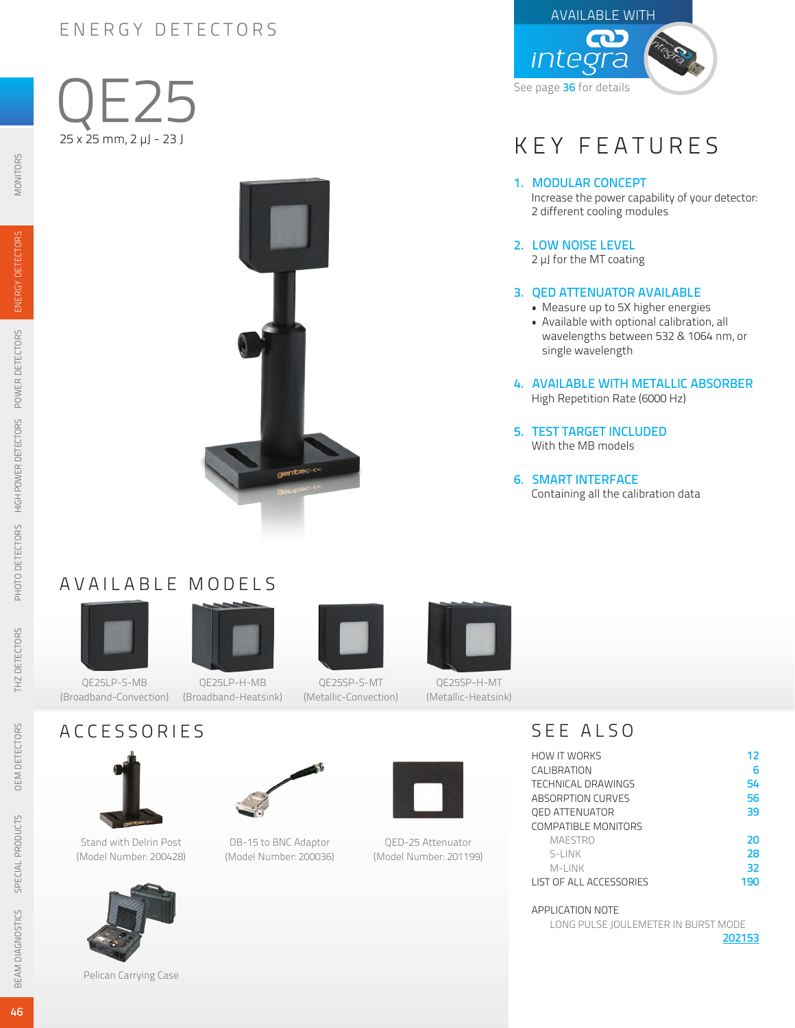## ENERGY DETECTORS

MONITORS

ENERGY DETECTORS

POWER DETECTORS

HIGH POWER DETECTORS

PHOTO DETECTORS

THZ DETECTORS





## KEY FEATURES

#### 1. MODULAR CONCEPT

Increase the power capability of your detector: 2 different cooling modules

#### 2. LOW NOISE LEVEL

2 µJ for the MT coating

#### 3. QED ATTENUATOR AVAILABLE

- Measure up to 5X higher energies
- Available with optional calibration, all wavelengths between 532 & 1064 nm, or single wavelength

#### 4. AVAILABLE WITH METALLIC ABSORBER

High Repetition Rate (6000 Hz)

5. TEST TARGET INCLUDED With the MB models

#### 6. SMART INTERFACE

Containing all the calibration data

## AVAILABLE MODELS

(Broadband-Convection) (Broadband-Heatsink)





QE25LP-H-MB





QE25SP-H-MT

### ACCESSORIES



(Model Number: 200428)

DB-15 to BNC Adaptor (Model Number: 200036)



QED-25 Attenuator (Model Number: 201199)

## SEE ALSO

| <b>HOW IT WORKS</b>     | 12  |
|-------------------------|-----|
| CALIBRATION             | 6   |
| TECHNICAL DRAWINGS      | 54  |
| ABSORPTION CURVES       | 56  |
| <b>QED ATTENUATOR</b>   | 39  |
| COMPATIBLE MONITORS     |     |
| <b>MAESTRO</b>          | 20  |
| S-LINK                  | 28  |
| M-LINK                  | 32  |
| LIST OF ALL ACCESSORIES | 190 |

APPLICATION NOTE

LONG PULSE JOULEMETER IN BURST MODE

[202153](http://gentec-eo.com/Content/downloads/application-note/AN_121D-202153_Long_Pulse_Joulemeter.pdf)

Pelican Carrying Case

QE25SP-S-MT (Metallic-Convection)

(Metallic-Heatsink)